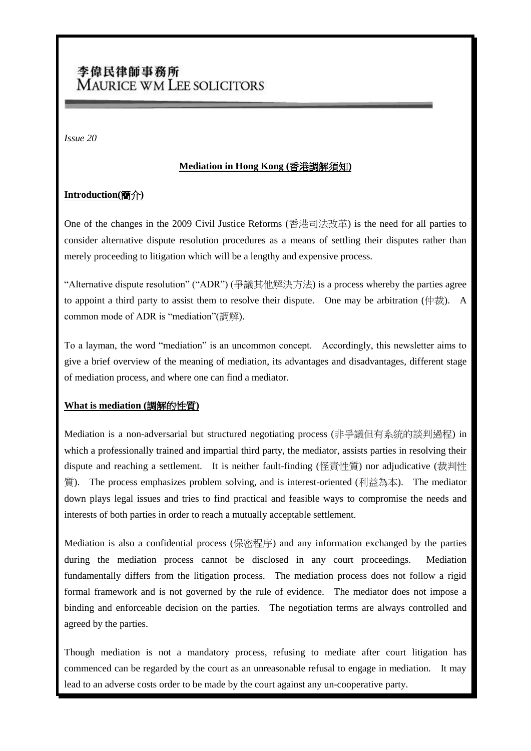# 李偉民律師事務所 MAURICE WM LEE SOLICITORS

*Issue 20*

#### **Mediation in Hong Kong (**香港調解須知**)**

# **Introduction(**簡介**)**

One of the changes in the 2009 Civil Justice Reforms (香港司法改革) is the need for all parties to consider alternative dispute resolution procedures as a means of settling their disputes rather than merely proceeding to litigation which will be a lengthy and expensive process.

"Alternative dispute resolution" ("ADR") (爭議其他解決方法) is a process whereby the parties agree to appoint a third party to assist them to resolve their dispute. One may be arbitration (仲裁). A common mode of ADR is "mediation"(調解).

To a layman, the word "mediation" is an uncommon concept. Accordingly, this newsletter aims to give a brief overview of the meaning of mediation, its advantages and disadvantages, different stage of mediation process, and where one can find a mediator.

# **What is mediation (**調解的性質**)**

Mediation is a non-adversarial but structured negotiating process (非爭議但有系統的談判過程) in which a professionally trained and impartial third party, the mediator, assists parties in resolving their dispute and reaching a settlement. It is neither fault-finding (怪責性質) nor adjudicative (裁判性 質). The process emphasizes problem solving, and is interest-oriented (利益為本). The mediator down plays legal issues and tries to find practical and feasible ways to compromise the needs and interests of both parties in order to reach a mutually acceptable settlement.

Mediation is also a confidential process (保密程序) and any information exchanged by the parties during the mediation process cannot be disclosed in any court proceedings. Mediation fundamentally differs from the litigation process. The mediation process does not follow a rigid formal framework and is not governed by the rule of evidence. The mediator does not impose a binding and enforceable decision on the parties. The negotiation terms are always controlled and agreed by the parties.

Though mediation is not a mandatory process, refusing to mediate after court litigation has commenced can be regarded by the court as an unreasonable refusal to engage in mediation. It may lead to an adverse costs order to be made by the court against any un-cooperative party.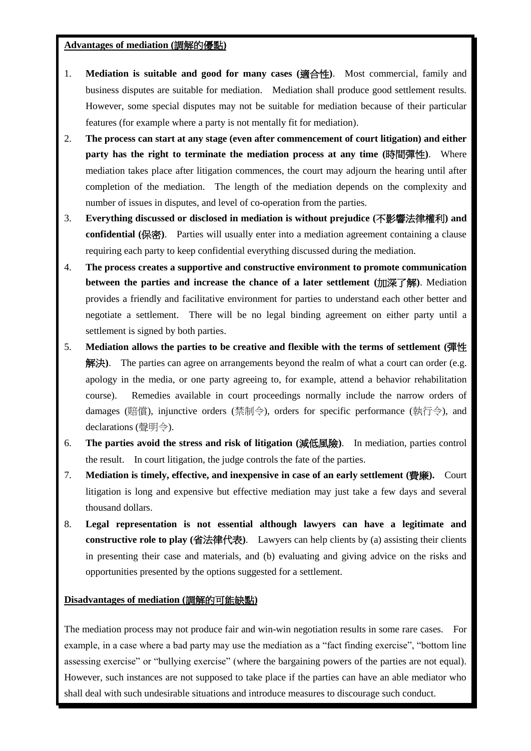#### **Advantages of mediation (**調解的優點**)**

- 1. **Mediation is suitable and good for many cases (**適合性**)**. Most commercial, family and business disputes are suitable for mediation. Mediation shall produce good settlement results. However, some special disputes may not be suitable for mediation because of their particular features (for example where a party is not mentally fit for mediation).
- 2. **The process can start at any stage (even after commencement of court litigation) and either party has the right to terminate the mediation process at any time (**時間彈性**)**. Where mediation takes place after litigation commences, the court may adjourn the hearing until after completion of the mediation. The length of the mediation depends on the complexity and number of issues in disputes, and level of co-operation from the parties.
- 3. **Everything discussed or disclosed in mediation is without prejudice (**不影響法律權利**) and confidential (**保密**)**. Parties will usually enter into a mediation agreement containing a clause requiring each party to keep confidential everything discussed during the mediation.
- 4. **The process creates a supportive and constructive environment to promote communication between the parties and increase the chance of a later settlement (**加深了解**)**. Mediation provides a friendly and facilitative environment for parties to understand each other better and negotiate a settlement. There will be no legal binding agreement on either party until a settlement is signed by both parties.
- 5. **Mediation allows the parties to be creative and flexible with the terms of settlement (**彈性 解決**)**. The parties can agree on arrangements beyond the realm of what a court can order (e.g. apology in the media, or one party agreeing to, for example, attend a behavior rehabilitation course). Remedies available in court proceedings normally include the narrow orders of damages (賠償), injunctive orders (禁制令), orders for specific performance (執行令), and declarations (聲明令).
- 6. **The parties avoid the stress and risk of litigation (**減低風險**)**. In mediation, parties control the result. In court litigation, the judge controls the fate of the parties.
- 7. **Mediation is timely, effective, and inexpensive in case of an early settlement (**費廉**).** Court litigation is long and expensive but effective mediation may just take a few days and several thousand dollars.
- 8. **Legal representation is not essential although lawyers can have a legitimate and constructive role to play (**省法律代表**)**. Lawyers can help clients by (a) assisting their clients in presenting their case and materials, and (b) evaluating and giving advice on the risks and opportunities presented by the options suggested for a settlement.

# **Disadvantages of mediation (**調解的可能缺點**)**

The mediation process may not produce fair and win-win negotiation results in some rare cases. For example, in a case where a bad party may use the mediation as a "fact finding exercise", "bottom line assessing exercise" or "bullying exercise" (where the bargaining powers of the parties are not equal). However, such instances are not supposed to take place if the parties can have an able mediator who shall deal with such undesirable situations and introduce measures to discourage such conduct.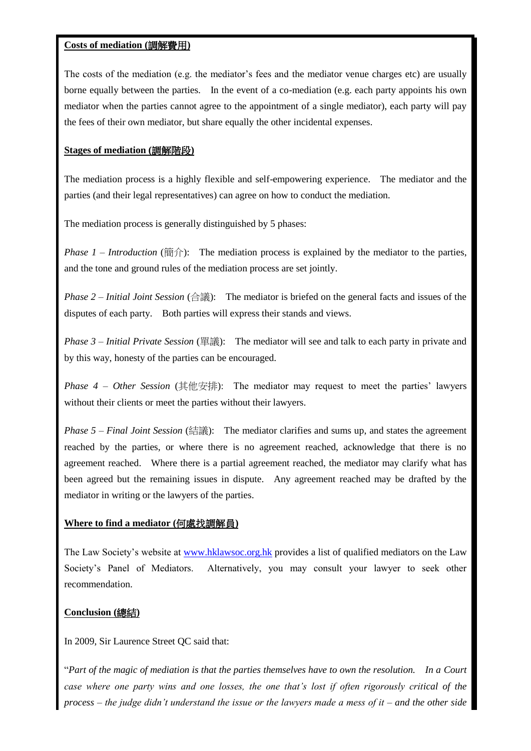#### **Costs of mediation (**調解費用**)**

The costs of the mediation (e.g. the mediator's fees and the mediator venue charges etc) are usually borne equally between the parties. In the event of a co-mediation (e.g. each party appoints his own mediator when the parties cannot agree to the appointment of a single mediator), each party will pay the fees of their own mediator, but share equally the other incidental expenses.

#### **Stages of mediation (**調解階段**)**

The mediation process is a highly flexible and self-empowering experience. The mediator and the parties (and their legal representatives) can agree on how to conduct the mediation.

The mediation process is generally distinguished by 5 phases:

*Phase 1 – Introduction* (簡介): The mediation process is explained by the mediator to the parties, and the tone and ground rules of the mediation process are set jointly.

*Phase 2 – Initial Joint Session* (合議): The mediator is briefed on the general facts and issues of the disputes of each party. Both parties will express their stands and views.

*Phase 3 – Initial Private Session* (單議): The mediator will see and talk to each party in private and by this way, honesty of the parties can be encouraged.

*Phase 4 – Other Session* (其他安排): The mediator may request to meet the parties' lawyers without their clients or meet the parties without their lawyers.

*Phase 5 – Final Joint Session* (結議): The mediator clarifies and sums up, and states the agreement reached by the parties, or where there is no agreement reached, acknowledge that there is no agreement reached. Where there is a partial agreement reached, the mediator may clarify what has been agreed but the remaining issues in dispute. Any agreement reached may be drafted by the mediator in writing or the lawyers of the parties.

# **Where to find a mediator (**何處找調解員**)**

The Law Society's website at [www.hklawsoc.org.hk](http://www.hklawsoc.org.hk/) provides a list of qualified mediators on the Law Society's Panel of Mediators. Alternatively, you may consult your lawyer to seek other recommendation.

# **Conclusion (**總結**)**

In 2009, Sir Laurence Street QC said that:

"*Part of the magic of mediation is that the parties themselves have to own the resolution. In a Court case where one party wins and one losses, the one that's lost if often rigorously critical of the process – the judge didn't understand the issue or the lawyers made a mess of it – and the other side*